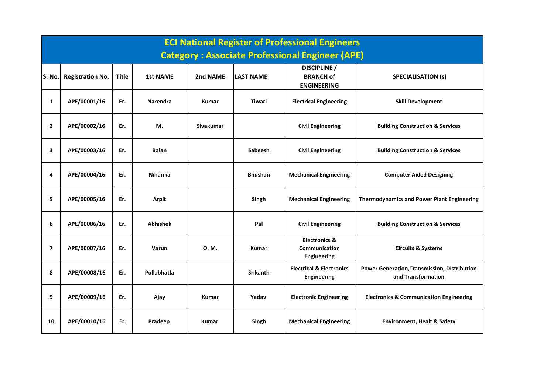|                         | <b>ECI National Register of Professional Engineers</b><br><b>Category: Associate Professional Engineer (APE)</b> |              |                 |                  |                  |                                                                 |                                                                           |  |  |  |  |  |
|-------------------------|------------------------------------------------------------------------------------------------------------------|--------------|-----------------|------------------|------------------|-----------------------------------------------------------------|---------------------------------------------------------------------------|--|--|--|--|--|
| S. No.                  | <b>Registration No.</b>                                                                                          | <b>Title</b> | <b>1st NAME</b> | 2nd NAME         | <b>LAST NAME</b> | <b>DISCIPLINE</b> /<br><b>BRANCH of</b><br><b>ENGINEERING</b>   | <b>SPECIALISATION (s)</b>                                                 |  |  |  |  |  |
| $\mathbf{1}$            | APE/00001/16                                                                                                     | Er.          | <b>Narendra</b> | <b>Kumar</b>     | Tiwari           | <b>Electrical Engineering</b>                                   | <b>Skill Development</b>                                                  |  |  |  |  |  |
| $\mathbf{2}$            | APE/00002/16                                                                                                     | Er.          | M.              | <b>Sivakumar</b> |                  | <b>Civil Engineering</b>                                        | <b>Building Construction &amp; Services</b>                               |  |  |  |  |  |
| $\overline{\mathbf{3}}$ | APE/00003/16                                                                                                     | Er.          | <b>Balan</b>    |                  | Sabeesh          | <b>Civil Engineering</b>                                        | <b>Building Construction &amp; Services</b>                               |  |  |  |  |  |
| 4                       | APE/00004/16                                                                                                     | Er.          | <b>Niharika</b> |                  | <b>Bhushan</b>   | <b>Mechanical Engineering</b>                                   | <b>Computer Aided Designing</b>                                           |  |  |  |  |  |
| 5                       | APE/00005/16                                                                                                     | Er.          | <b>Arpit</b>    |                  | Singh            | <b>Mechanical Engineering</b>                                   | <b>Thermodynamics and Power Plant Engineering</b>                         |  |  |  |  |  |
| 6                       | APE/00006/16                                                                                                     | Er.          | <b>Abhishek</b> |                  | Pal              | <b>Civil Engineering</b>                                        | <b>Building Construction &amp; Services</b>                               |  |  |  |  |  |
| $\overline{7}$          | APE/00007/16                                                                                                     | Er.          | Varun           | 0. M.            | <b>Kumar</b>     | <b>Electronics &amp;</b><br>Communication<br><b>Engineering</b> | <b>Circuits &amp; Systems</b>                                             |  |  |  |  |  |
| 8                       | APE/00008/16                                                                                                     | Er.          | Pullabhatla     |                  | Srikanth         | <b>Electrical &amp; Electronics</b><br><b>Engineering</b>       | <b>Power Generation, Transmission, Distribution</b><br>and Transformation |  |  |  |  |  |
| 9                       | APE/00009/16                                                                                                     | Er.          | Ajay            | <b>Kumar</b>     | Yadav            | <b>Electronic Engineering</b>                                   | <b>Electronics &amp; Communication Engineering</b>                        |  |  |  |  |  |
| 10                      | APE/00010/16                                                                                                     | Er.          | Pradeep         | <b>Kumar</b>     | Singh            | <b>Mechanical Engineering</b>                                   | <b>Environment, Healt &amp; Safety</b>                                    |  |  |  |  |  |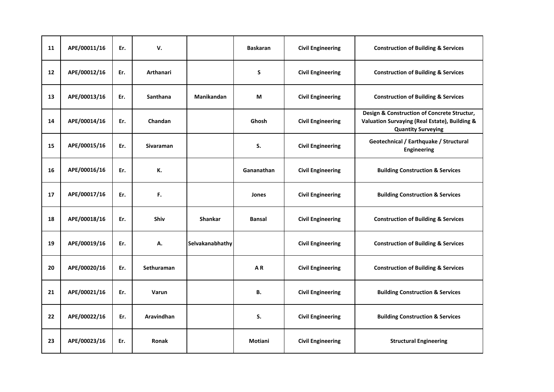| 11 | APE/00011/16 | Er. | V.               |                   | <b>Baskaran</b> | <b>Civil Engineering</b> | <b>Construction of Building &amp; Services</b>                                                                            |
|----|--------------|-----|------------------|-------------------|-----------------|--------------------------|---------------------------------------------------------------------------------------------------------------------------|
| 12 | APE/00012/16 | Er. | <b>Arthanari</b> |                   | S               | <b>Civil Engineering</b> | <b>Construction of Building &amp; Services</b>                                                                            |
| 13 | APE/00013/16 | Er. | Santhana         | <b>Manikandan</b> | M               | <b>Civil Engineering</b> | <b>Construction of Building &amp; Services</b>                                                                            |
| 14 | APE/00014/16 | Er. | Chandan          |                   | Ghosh           | <b>Civil Engineering</b> | Design & Construction of Concrete Structur,<br>Valuation Survaying (Real Estate), Building &<br><b>Quantity Surveying</b> |
| 15 | APE/00015/16 | Er. | Sivaraman        |                   | S.              | <b>Civil Engineering</b> | Geotechnical / Earthquake / Structural<br><b>Engineering</b>                                                              |
| 16 | APE/00016/16 | Er. | K.               |                   | Gananathan      | <b>Civil Engineering</b> | <b>Building Construction &amp; Services</b>                                                                               |
| 17 | APE/00017/16 | Er. | F.               |                   | Jones           | <b>Civil Engineering</b> | <b>Building Construction &amp; Services</b>                                                                               |
| 18 | APE/00018/16 | Er. | Shiv             | Shankar           | Bansal          | <b>Civil Engineering</b> | <b>Construction of Building &amp; Services</b>                                                                            |
| 19 | APE/00019/16 | Er. | А.               | Selvakanabhathy   |                 | <b>Civil Engineering</b> | <b>Construction of Building &amp; Services</b>                                                                            |
| 20 | APE/00020/16 | Er. | Sethuraman       |                   | AR              | <b>Civil Engineering</b> | <b>Construction of Building &amp; Services</b>                                                                            |
| 21 | APE/00021/16 | Er. | Varun            |                   | В.              | <b>Civil Engineering</b> | <b>Building Construction &amp; Services</b>                                                                               |
| 22 | APE/00022/16 | Er. | Aravindhan       |                   | S.              | <b>Civil Engineering</b> | <b>Building Construction &amp; Services</b>                                                                               |
| 23 | APE/00023/16 | Er. | Ronak            |                   | Motiani         | <b>Civil Engineering</b> | <b>Structural Engineering</b>                                                                                             |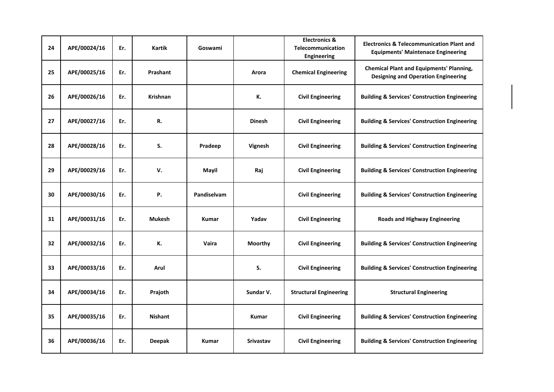| 24 | APE/00024/16 | Er. | <b>Kartik</b>   | Goswami      |                  | <b>Electronics &amp;</b><br>Telecommunication<br><b>Engineering</b> | <b>Electronics &amp; Telecommunication Plant and</b><br><b>Equipments' Maintenace Engineering</b> |
|----|--------------|-----|-----------------|--------------|------------------|---------------------------------------------------------------------|---------------------------------------------------------------------------------------------------|
| 25 | APE/00025/16 | Er. | Prashant        |              | Arora            | <b>Chemical Engineering</b>                                         | <b>Chemical Plant and Equipments' Planning,</b><br><b>Designing and Operation Engineering</b>     |
| 26 | APE/00026/16 | Er. | <b>Krishnan</b> |              | К.               | <b>Civil Engineering</b>                                            | <b>Building &amp; Services' Construction Engineering</b>                                          |
| 27 | APE/00027/16 | Er. | R.              |              | <b>Dinesh</b>    | <b>Civil Engineering</b>                                            | <b>Building &amp; Services' Construction Engineering</b>                                          |
| 28 | APE/00028/16 | Er. | S.              | Pradeep      | Vignesh          | <b>Civil Engineering</b>                                            | <b>Building &amp; Services' Construction Engineering</b>                                          |
| 29 | APE/00029/16 | Er. | v.              | Mayil        | Raj              | <b>Civil Engineering</b>                                            | <b>Building &amp; Services' Construction Engineering</b>                                          |
| 30 | APE/00030/16 | Er. | Ρ.              | Pandiselvam  |                  | <b>Civil Engineering</b>                                            | <b>Building &amp; Services' Construction Engineering</b>                                          |
| 31 | APE/00031/16 | Er. | <b>Mukesh</b>   | Kumar        | Yadav            | <b>Civil Engineering</b>                                            | <b>Roads and Highway Engineering</b>                                                              |
| 32 | APE/00032/16 | Er. | К.              | Vaira        | Moorthy          | <b>Civil Engineering</b>                                            | <b>Building &amp; Services' Construction Engineering</b>                                          |
| 33 | APE/00033/16 | Er. | Arul            |              | S.               | <b>Civil Engineering</b>                                            | <b>Building &amp; Services' Construction Engineering</b>                                          |
| 34 | APE/00034/16 | Er. | Prajoth         |              | Sundar V.        | <b>Structural Engineering</b>                                       | <b>Structural Engineering</b>                                                                     |
| 35 | APE/00035/16 | Er. | <b>Nishant</b>  |              | <b>Kumar</b>     | <b>Civil Engineering</b>                                            | <b>Building &amp; Services' Construction Engineering</b>                                          |
| 36 | APE/00036/16 | Er. | <b>Deepak</b>   | <b>Kumar</b> | <b>Srivastav</b> | <b>Civil Engineering</b>                                            | <b>Building &amp; Services' Construction Engineering</b>                                          |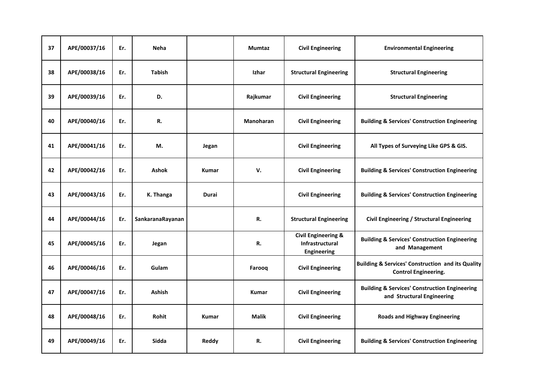| 37 | APE/00037/16 | Er. | <b>Neha</b>      |              | <b>Mumtaz</b> | <b>Civil Engineering</b>                                                | <b>Environmental Engineering</b>                                                            |
|----|--------------|-----|------------------|--------------|---------------|-------------------------------------------------------------------------|---------------------------------------------------------------------------------------------|
| 38 | APE/00038/16 | Er. | <b>Tabish</b>    |              | Izhar         | <b>Structural Engineering</b>                                           | <b>Structural Engineering</b>                                                               |
| 39 | APE/00039/16 | Er. | D.               |              | Rajkumar      | <b>Civil Engineering</b>                                                | <b>Structural Engineering</b>                                                               |
| 40 | APE/00040/16 | Er. | R.               |              | Manoharan     | <b>Civil Engineering</b>                                                | <b>Building &amp; Services' Construction Engineering</b>                                    |
| 41 | APE/00041/16 | Er. | М.               | Jegan        |               | <b>Civil Engineering</b>                                                | All Types of Surveying Like GPS & GIS.                                                      |
| 42 | APE/00042/16 | Er. | <b>Ashok</b>     | Kumar        | v.            | <b>Civil Engineering</b>                                                | <b>Building &amp; Services' Construction Engineering</b>                                    |
| 43 | APE/00043/16 | Er. | K. Thanga        | Durai        |               | <b>Civil Engineering</b>                                                | <b>Building &amp; Services' Construction Engineering</b>                                    |
| 44 | APE/00044/16 | Er. | SankaranaRayanan |              | R.            | <b>Structural Engineering</b>                                           | Civil Engineering / Structural Engineering                                                  |
| 45 | APE/00045/16 | Er. | Jegan            |              | R.            | <b>Civil Engineering &amp;</b><br>Infrastructural<br><b>Engineering</b> | <b>Building &amp; Services' Construction Engineering</b><br>and Management                  |
| 46 | APE/00046/16 | Er. | Gulam            |              | Farooq        | <b>Civil Engineering</b>                                                | <b>Building &amp; Services' Construction and its Quality</b><br><b>Control Engineering.</b> |
| 47 | APE/00047/16 | Er. | <b>Ashish</b>    |              | <b>Kumar</b>  | <b>Civil Engineering</b>                                                | <b>Building &amp; Services' Construction Engineering</b><br>and Structural Engineering      |
| 48 | APE/00048/16 | Er. | <b>Rohit</b>     | <b>Kumar</b> | <b>Malik</b>  | <b>Civil Engineering</b>                                                | <b>Roads and Highway Engineering</b>                                                        |
| 49 | APE/00049/16 | Er. | Sidda            | Reddy        | R.            | <b>Civil Engineering</b>                                                | <b>Building &amp; Services' Construction Engineering</b>                                    |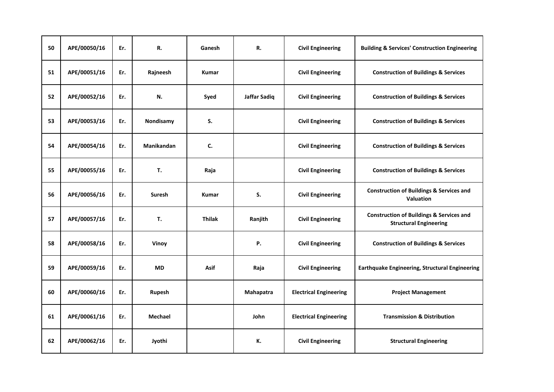| 50 | APE/00050/16 | Er. | R.                | Ganesh        | R.           | <b>Civil Engineering</b>      | <b>Building &amp; Services' Construction Engineering</b>                             |
|----|--------------|-----|-------------------|---------------|--------------|-------------------------------|--------------------------------------------------------------------------------------|
| 51 | APE/00051/16 | Er. | Rajneesh          | Kumar         |              | <b>Civil Engineering</b>      | <b>Construction of Buildings &amp; Services</b>                                      |
| 52 | APE/00052/16 | Er. | N.                | Syed          | Jaffar Sadiq | <b>Civil Engineering</b>      | <b>Construction of Buildings &amp; Services</b>                                      |
| 53 | APE/00053/16 | Er. | Nondisamy         | S.            |              | <b>Civil Engineering</b>      | <b>Construction of Buildings &amp; Services</b>                                      |
| 54 | APE/00054/16 | Er. | <b>Manikandan</b> | C.            |              | <b>Civil Engineering</b>      | <b>Construction of Buildings &amp; Services</b>                                      |
| 55 | APE/00055/16 | Er. | Τ.                | Raja          |              | <b>Civil Engineering</b>      | <b>Construction of Buildings &amp; Services</b>                                      |
| 56 | APE/00056/16 | Er. | Suresh            | <b>Kumar</b>  | S.           | <b>Civil Engineering</b>      | <b>Construction of Buildings &amp; Services and</b><br>Valuation                     |
| 57 | APE/00057/16 | Er. | T.                | <b>Thilak</b> | Ranjith      | <b>Civil Engineering</b>      | <b>Construction of Buildings &amp; Services and</b><br><b>Structural Engineering</b> |
| 58 | APE/00058/16 | Er. | Vinoy             |               | Ρ.           | <b>Civil Engineering</b>      | <b>Construction of Buildings &amp; Services</b>                                      |
| 59 | APE/00059/16 | Er. | <b>MD</b>         | <b>Asif</b>   | Raja         | <b>Civil Engineering</b>      | <b>Earthquake Engineering, Structural Engineering</b>                                |
| 60 | APE/00060/16 | Er. | Rupesh            |               | Mahapatra    | <b>Electrical Engineering</b> | <b>Project Management</b>                                                            |
| 61 | APE/00061/16 | Er. | Mechael           |               | John         | <b>Electrical Engineering</b> | <b>Transmission &amp; Distribution</b>                                               |
| 62 | APE/00062/16 | Er. | Jyothi            |               | К.           | <b>Civil Engineering</b>      | <b>Structural Engineering</b>                                                        |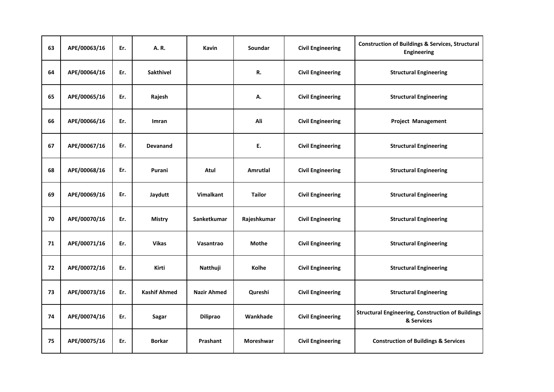| 63 | APE/00063/16 | Er. | A.R.                | Kavin              | Soundar       | <b>Civil Engineering</b> | <b>Construction of Buildings &amp; Services, Structural</b><br><b>Engineering</b> |
|----|--------------|-----|---------------------|--------------------|---------------|--------------------------|-----------------------------------------------------------------------------------|
| 64 | APE/00064/16 | Er. | <b>Sakthivel</b>    |                    | R.            | <b>Civil Engineering</b> | <b>Structural Engineering</b>                                                     |
| 65 | APE/00065/16 | Er. | Rajesh              |                    | А.            | <b>Civil Engineering</b> | <b>Structural Engineering</b>                                                     |
| 66 | APE/00066/16 | Er. | Imran               |                    | Ali           | <b>Civil Engineering</b> | <b>Project Management</b>                                                         |
| 67 | APE/00067/16 | Er. | Devanand            |                    | E.            | <b>Civil Engineering</b> | <b>Structural Engineering</b>                                                     |
| 68 | APE/00068/16 | Er. | Purani              | Atul               | Amrutlal      | <b>Civil Engineering</b> | <b>Structural Engineering</b>                                                     |
| 69 | APE/00069/16 | Er. | Jaydutt             | <b>Vimalkant</b>   | <b>Tailor</b> | <b>Civil Engineering</b> | <b>Structural Engineering</b>                                                     |
| 70 | APE/00070/16 | Er. | <b>Mistry</b>       | Sanketkumar        | Rajeshkumar   | <b>Civil Engineering</b> | <b>Structural Engineering</b>                                                     |
| 71 | APE/00071/16 | Er. | <b>Vikas</b>        | Vasantrao          | Mothe         | <b>Civil Engineering</b> | <b>Structural Engineering</b>                                                     |
| 72 | APE/00072/16 | Er. | Kirti               | Natthuji           | Kolhe         | <b>Civil Engineering</b> | <b>Structural Engineering</b>                                                     |
| 73 | APE/00073/16 | Er. | <b>Kashif Ahmed</b> | <b>Nazir Ahmed</b> | Qureshi       | <b>Civil Engineering</b> | <b>Structural Engineering</b>                                                     |
| 74 | APE/00074/16 | Er. | <b>Sagar</b>        | <b>Diliprao</b>    | Wankhade      | <b>Civil Engineering</b> | <b>Structural Engineering, Construction of Buildings</b><br>& Services            |
| 75 | APE/00075/16 | Er. | <b>Borkar</b>       | Prashant           | Moreshwar     | <b>Civil Engineering</b> | <b>Construction of Buildings &amp; Services</b>                                   |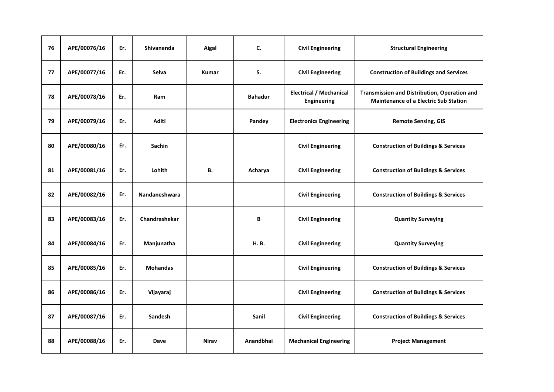| 76 | APE/00076/16 | Er. | <b>Shivananda</b>    | Aigal        | C.             | <b>Civil Engineering</b>                      | <b>Structural Engineering</b>                                                                |
|----|--------------|-----|----------------------|--------------|----------------|-----------------------------------------------|----------------------------------------------------------------------------------------------|
| 77 | APE/00077/16 | Er. | Selva                | <b>Kumar</b> | S.             | <b>Civil Engineering</b>                      | <b>Construction of Buildings and Services</b>                                                |
| 78 | APE/00078/16 | Er. | <b>Ram</b>           |              | <b>Bahadur</b> | <b>Electrical / Mechanical</b><br>Engineering | Transmission and Distribution, Operation and<br><b>Maintenance of a Electric Sub Station</b> |
| 79 | APE/00079/16 | Er. | Aditi                |              | Pandey         | <b>Electronics Engineering</b>                | <b>Remote Sensing, GIS</b>                                                                   |
| 80 | APE/00080/16 | Er. | <b>Sachin</b>        |              |                | <b>Civil Engineering</b>                      | <b>Construction of Buildings &amp; Services</b>                                              |
| 81 | APE/00081/16 | Er. | Lohith               | В.           | Acharya        | <b>Civil Engineering</b>                      | <b>Construction of Buildings &amp; Services</b>                                              |
| 82 | APE/00082/16 | Er. | <b>Nandaneshwara</b> |              |                | <b>Civil Engineering</b>                      | <b>Construction of Buildings &amp; Services</b>                                              |
| 83 | APE/00083/16 | Er. | Chandrashekar        |              | B              | <b>Civil Engineering</b>                      | <b>Quantity Surveying</b>                                                                    |
| 84 | APE/00084/16 | Er. | Manjunatha           |              | <b>H.B.</b>    | <b>Civil Engineering</b>                      | <b>Quantity Surveying</b>                                                                    |
| 85 | APE/00085/16 | Er. | <b>Mohandas</b>      |              |                | <b>Civil Engineering</b>                      | <b>Construction of Buildings &amp; Services</b>                                              |
| 86 | APE/00086/16 | Er. | Vijayaraj            |              |                | <b>Civil Engineering</b>                      | <b>Construction of Buildings &amp; Services</b>                                              |
| 87 | APE/00087/16 | Er. | Sandesh              |              | <b>Sanil</b>   | <b>Civil Engineering</b>                      | <b>Construction of Buildings &amp; Services</b>                                              |
| 88 | APE/00088/16 | Er. | Dave                 | <b>Nirav</b> | Anandbhai      | <b>Mechanical Engineering</b>                 | <b>Project Management</b>                                                                    |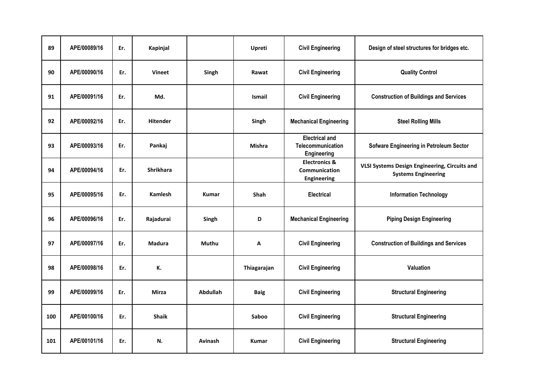| 89  | APE/00089/16 | Er. | Kapinjal         |              | Upreti        | <b>Civil Engineering</b>                                  | Design of steel structures for bridges etc.                                 |
|-----|--------------|-----|------------------|--------------|---------------|-----------------------------------------------------------|-----------------------------------------------------------------------------|
| 90  | APE/00090/16 | Er. | <b>Vineet</b>    | Singh        | Rawat         | <b>Civil Engineering</b>                                  | <b>Quality Control</b>                                                      |
| 91  | APE/00091/16 | Er. | Md.              |              | <b>Ismail</b> | <b>Civil Engineering</b>                                  | <b>Construction of Buildings and Services</b>                               |
| 92  | APE/00092/16 | Er. | <b>Hitender</b>  |              | Singh         | <b>Mechanical Engineering</b>                             | <b>Steel Rolling Mills</b>                                                  |
| 93  | APE/00093/16 | Er. | Pankaj           |              | Mishra        | <b>Electrical and</b><br>Telecommunication<br>Engineering | <b>Sofware Engineering in Petroleum Sector</b>                              |
| 94  | APE/00094/16 | Er. | <b>Shrikhara</b> |              |               | <b>Electronics &amp;</b><br>Communication<br>Engineering  | VLSI Systems Design Engineering, Circuits and<br><b>Systems Engineering</b> |
| 95  | APE/00095/16 | Er. | <b>Kamlesh</b>   | <b>Kumar</b> | <b>Shah</b>   | <b>Electrical</b>                                         | <b>Information Technology</b>                                               |
| 96  | APE/00096/16 | Er. | Rajadurai        | Singh        | D             | <b>Mechanical Engineering</b>                             | <b>Piping Design Engineering</b>                                            |
| 97  | APE/00097/16 | Er. | <b>Madura</b>    | Muthu        | Α             | <b>Civil Engineering</b>                                  | <b>Construction of Buildings and Services</b>                               |
| 98  | APE/00098/16 | Er. | K.               |              | Thiagarajan   | <b>Civil Engineering</b>                                  | Valuation                                                                   |
| 99  | APE/00099/16 | Er. | <b>Mirza</b>     | Abdullah     | <b>Baig</b>   | <b>Civil Engineering</b>                                  | <b>Structural Engineering</b>                                               |
| 100 | APE/00100/16 | Er. | <b>Shaik</b>     |              | Saboo         | <b>Civil Engineering</b>                                  | <b>Structural Engineering</b>                                               |
| 101 | APE/00101/16 | Er. | N.               | Avinash      | <b>Kumar</b>  | <b>Civil Engineering</b>                                  | <b>Structural Engineering</b>                                               |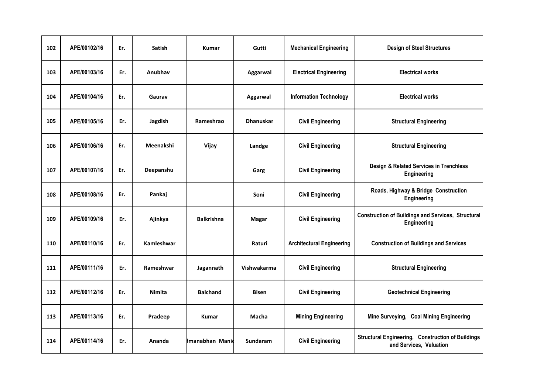| 102 | APE/00102/16 | Er. | <b>Satish</b> | Kumar             | Gutti            | <b>Mechanical Engineering</b>    | <b>Design of Steel Structures</b>                                                   |
|-----|--------------|-----|---------------|-------------------|------------------|----------------------------------|-------------------------------------------------------------------------------------|
| 103 | APE/00103/16 | Er. | Anubhav       |                   | Aggarwal         | <b>Electrical Engineering</b>    | <b>Electrical works</b>                                                             |
| 104 | APE/00104/16 | Er. | Gaurav        |                   | Aggarwal         | <b>Information Technology</b>    | <b>Electrical works</b>                                                             |
| 105 | APE/00105/16 | Er. | Jagdish       | Rameshrao         | <b>Dhanuskar</b> | <b>Civil Engineering</b>         | <b>Structural Engineering</b>                                                       |
| 106 | APE/00106/16 | Er. | Meenakshi     | Vijay             | Landge           | <b>Civil Engineering</b>         | <b>Structural Engineering</b>                                                       |
| 107 | APE/00107/16 | Er. | Deepanshu     |                   | Garg             | <b>Civil Engineering</b>         | <b>Design &amp; Related Services in Trenchless</b><br>Engineering                   |
| 108 | APE/00108/16 | Er. | Pankaj        |                   | Soni             | <b>Civil Engineering</b>         | Roads, Highway & Bridge Construction<br>Engineering                                 |
| 109 | APE/00109/16 | Er. | Ajinkya       | <b>Balkrishna</b> | <b>Magar</b>     | <b>Civil Engineering</b>         | <b>Construction of Buildings and Services, Structural</b><br>Engineering            |
| 110 | APE/00110/16 | Er. | Kamleshwar    |                   | Raturi           | <b>Architectural Engineering</b> | <b>Construction of Buildings and Services</b>                                       |
| 111 | APE/00111/16 | Er. | Rameshwar     | Jagannath         | Vishwakarma      | <b>Civil Engineering</b>         | <b>Structural Engineering</b>                                                       |
| 112 | APE/00112/16 | Er. | <b>Nimita</b> | <b>Balchand</b>   | <b>Bisen</b>     | <b>Civil Engineering</b>         | <b>Geotechnical Engineering</b>                                                     |
| 113 | APE/00113/16 | Er. | Pradeep       | <b>Kumar</b>      | Macha            | <b>Mining Engineering</b>        | Mine Surveying, Coal Mining Engineering                                             |
| 114 | APE/00114/16 | Er. | Ananda        | Imanabhan Manic   | Sundaram         | <b>Civil Engineering</b>         | <b>Structural Engineering, Construction of Buildings</b><br>and Services, Valuation |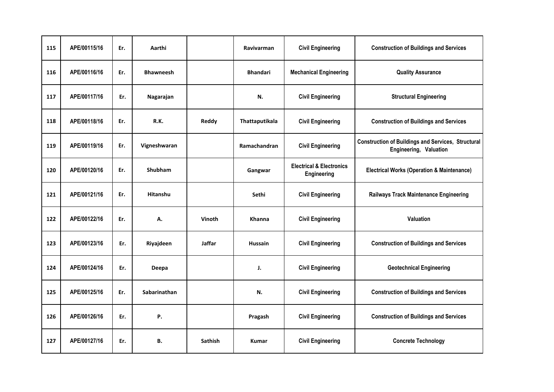| 115 | APE/00115/16 | Er. | Aarthi           |                | Ravivarman      | <b>Civil Engineering</b>                           | <b>Construction of Buildings and Services</b>                                       |
|-----|--------------|-----|------------------|----------------|-----------------|----------------------------------------------------|-------------------------------------------------------------------------------------|
| 116 | APE/00116/16 | Er. | <b>Bhawneesh</b> |                | <b>Bhandari</b> | <b>Mechanical Engineering</b>                      | <b>Quality Assurance</b>                                                            |
| 117 | APE/00117/16 | Er. | Nagarajan        |                | N.              | <b>Civil Engineering</b>                           | <b>Structural Engineering</b>                                                       |
| 118 | APE/00118/16 | Er. | R.K.             | Reddy          | Thattaputikala  | <b>Civil Engineering</b>                           | <b>Construction of Buildings and Services</b>                                       |
| 119 | APE/00119/16 | Er. | Vigneshwaran     |                | Ramachandran    | <b>Civil Engineering</b>                           | <b>Construction of Buildings and Services, Structural</b><br>Engineering, Valuation |
| 120 | APE/00120/16 | Er. | <b>Shubham</b>   |                | Gangwar         | <b>Electrical &amp; Electronics</b><br>Engineering | <b>Electrical Works (Operation &amp; Maintenance)</b>                               |
| 121 | APE/00121/16 | Er. | <b>Hitanshu</b>  |                | Sethi           | <b>Civil Engineering</b>                           | Railways Track Maintenance Engineering                                              |
| 122 | APE/00122/16 | Er. | А.               | Vinoth         | Khanna          | <b>Civil Engineering</b>                           | Valuation                                                                           |
| 123 | APE/00123/16 | Er. | Riyajdeen        | <b>Jaffar</b>  | Hussain         | <b>Civil Engineering</b>                           | <b>Construction of Buildings and Services</b>                                       |
| 124 | APE/00124/16 | Er. | Deepa            |                | J.              | <b>Civil Engineering</b>                           | <b>Geotechnical Engineering</b>                                                     |
| 125 | APE/00125/16 | Er. | Sabarinathan     |                | N.              | <b>Civil Engineering</b>                           | <b>Construction of Buildings and Services</b>                                       |
| 126 | APE/00126/16 | Er. | Ρ.               |                | Pragash         | <b>Civil Engineering</b>                           | <b>Construction of Buildings and Services</b>                                       |
| 127 | APE/00127/16 | Er. | В.               | <b>Sathish</b> | <b>Kumar</b>    | <b>Civil Engineering</b>                           | <b>Concrete Technology</b>                                                          |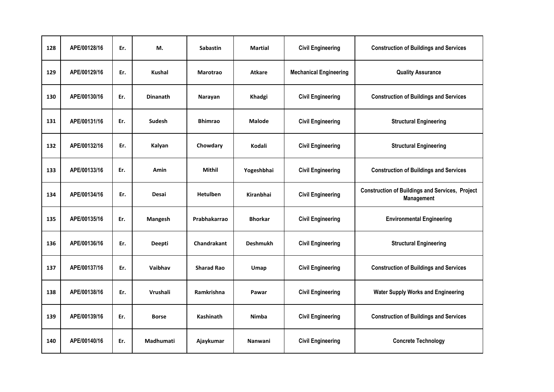| 128 | APE/00128/16 | Er. | М.              | <b>Sabastin</b>   | <b>Martial</b>   | <b>Civil Engineering</b>      | <b>Construction of Buildings and Services</b>                        |
|-----|--------------|-----|-----------------|-------------------|------------------|-------------------------------|----------------------------------------------------------------------|
| 129 | APE/00129/16 | Er. | <b>Kushal</b>   | <b>Marotrao</b>   | <b>Atkare</b>    | <b>Mechanical Engineering</b> | <b>Quality Assurance</b>                                             |
| 130 | APE/00130/16 | Er. | <b>Dinanath</b> | Narayan           | Khadgi           | <b>Civil Engineering</b>      | <b>Construction of Buildings and Services</b>                        |
| 131 | APE/00131/16 | Er. | Sudesh          | <b>Bhimrao</b>    | <b>Malode</b>    | <b>Civil Engineering</b>      | <b>Structural Engineering</b>                                        |
| 132 | APE/00132/16 | Er. | Kalyan          | Chowdary          | Kodali           | <b>Civil Engineering</b>      | <b>Structural Engineering</b>                                        |
| 133 | APE/00133/16 | Er. | Amin            | Mithil            | Yogeshbhai       | <b>Civil Engineering</b>      | <b>Construction of Buildings and Services</b>                        |
| 134 | APE/00134/16 | Er. | Desai           | <b>Hetulben</b>   | <b>Kiranbhai</b> | <b>Civil Engineering</b>      | <b>Construction of Buildings and Services, Project</b><br>Management |
| 135 | APE/00135/16 | Er. | Mangesh         | Prabhakarrao      | <b>Bhorkar</b>   | <b>Civil Engineering</b>      | <b>Environmental Engineering</b>                                     |
| 136 | APE/00136/16 | Er. | Deepti          | Chandrakant       | <b>Deshmukh</b>  | <b>Civil Engineering</b>      | <b>Structural Engineering</b>                                        |
| 137 | APE/00137/16 | Er. | Vaibhav         | <b>Sharad Rao</b> | Umap             | <b>Civil Engineering</b>      | <b>Construction of Buildings and Services</b>                        |
| 138 | APE/00138/16 | Er. | Vrushali        | <b>Ramkrishna</b> | Pawar            | <b>Civil Engineering</b>      | <b>Water Supply Works and Engineering</b>                            |
| 139 | APE/00139/16 | Er. | <b>Borse</b>    | <b>Kashinath</b>  | <b>Nimba</b>     | <b>Civil Engineering</b>      | <b>Construction of Buildings and Services</b>                        |
| 140 | APE/00140/16 | Er. | Madhumati       | Ajaykumar         | Nanwani          | <b>Civil Engineering</b>      | <b>Concrete Technology</b>                                           |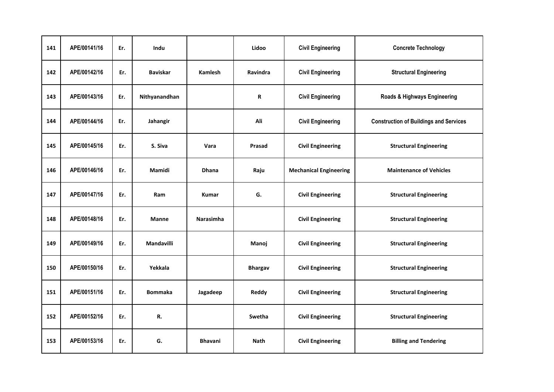| 141 | APE/00141/16 | Er. | Indu            |                  | Lidoo          | <b>Civil Engineering</b>      | <b>Concrete Technology</b>                    |
|-----|--------------|-----|-----------------|------------------|----------------|-------------------------------|-----------------------------------------------|
| 142 | APE/00142/16 | Er. | <b>Baviskar</b> | <b>Kamlesh</b>   | Ravindra       | <b>Civil Engineering</b>      | <b>Structural Engineering</b>                 |
| 143 | APE/00143/16 | Er. | Nithyanandhan   |                  | $\mathbf R$    | <b>Civil Engineering</b>      | Roads & Highways Engineering                  |
| 144 | APE/00144/16 | Er. | Jahangir        |                  | Ali            | <b>Civil Engineering</b>      | <b>Construction of Buildings and Services</b> |
| 145 | APE/00145/16 | Er. | S. Siva         | Vara             | Prasad         | <b>Civil Engineering</b>      | <b>Structural Engineering</b>                 |
| 146 | APE/00146/16 | Er. | Mamidi          | <b>Dhana</b>     | Raju           | <b>Mechanical Engineering</b> | <b>Maintenance of Vehicles</b>                |
| 147 | APE/00147/16 | Er. | Ram             | <b>Kumar</b>     | G.             | <b>Civil Engineering</b>      | <b>Structural Engineering</b>                 |
| 148 | APE/00148/16 | Er. | <b>Manne</b>    | <b>Narasimha</b> |                | <b>Civil Engineering</b>      | <b>Structural Engineering</b>                 |
| 149 | APE/00149/16 | Er. | Mandavilli      |                  | Manoj          | <b>Civil Engineering</b>      | <b>Structural Engineering</b>                 |
| 150 | APE/00150/16 | Er. | Yekkala         |                  | <b>Bhargav</b> | <b>Civil Engineering</b>      | <b>Structural Engineering</b>                 |
| 151 | APE/00151/16 | Er. | <b>Bommaka</b>  | Jagadeep         | Reddy          | <b>Civil Engineering</b>      | <b>Structural Engineering</b>                 |
| 152 | APE/00152/16 | Er. | R.              |                  | Swetha         | <b>Civil Engineering</b>      | <b>Structural Engineering</b>                 |
| 153 | APE/00153/16 | Er. | G.              | <b>Bhavani</b>   | <b>Nath</b>    | <b>Civil Engineering</b>      | <b>Billing and Tendering</b>                  |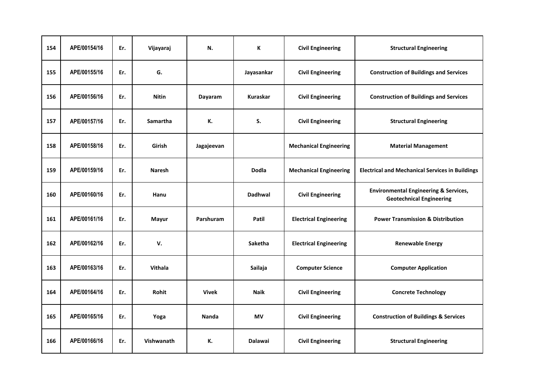| 154 | APE/00154/16 | Er. | Vijayaraj       | N.           | K              | <b>Civil Engineering</b>      | <b>Structural Engineering</b>                                                       |
|-----|--------------|-----|-----------------|--------------|----------------|-------------------------------|-------------------------------------------------------------------------------------|
| 155 | APE/00155/16 | Er. | G.              |              | Jayasankar     | <b>Civil Engineering</b>      | <b>Construction of Buildings and Services</b>                                       |
| 156 | APE/00156/16 | Er. | <b>Nitin</b>    | Dayaram      | Kuraskar       | <b>Civil Engineering</b>      | <b>Construction of Buildings and Services</b>                                       |
| 157 | APE/00157/16 | Er. | <b>Samartha</b> | К.           | S.             | <b>Civil Engineering</b>      | <b>Structural Engineering</b>                                                       |
| 158 | APE/00158/16 | Er. | Girish          | Jagajeevan   |                | <b>Mechanical Engineering</b> | <b>Material Management</b>                                                          |
| 159 | APE/00159/16 | Er. | <b>Naresh</b>   |              | <b>Dodla</b>   | <b>Mechanical Engineering</b> | <b>Electrical and Mechanical Services in Buildings</b>                              |
| 160 | APE/00160/16 | Er. | Hanu            |              | <b>Dadhwal</b> | <b>Civil Engineering</b>      | <b>Environmental Engineering &amp; Services,</b><br><b>Geotechnical Engineering</b> |
| 161 | APE/00161/16 | Er. | Mayur           | Parshuram    | Patil          | <b>Electrical Engineering</b> | <b>Power Transmission &amp; Distribution</b>                                        |
| 162 | APE/00162/16 | Er. | V.              |              | Saketha        | <b>Electrical Engineering</b> | <b>Renewable Energy</b>                                                             |
| 163 | APE/00163/16 | Er. | <b>Vithala</b>  |              | Sailaja        | <b>Computer Science</b>       | <b>Computer Application</b>                                                         |
| 164 | APE/00164/16 | Er. | <b>Rohit</b>    | <b>Vivek</b> | <b>Naik</b>    | <b>Civil Engineering</b>      | <b>Concrete Technology</b>                                                          |
| 165 | APE/00165/16 | Er. | Yoga            | <b>Nanda</b> | <b>MV</b>      | <b>Civil Engineering</b>      | <b>Construction of Buildings &amp; Services</b>                                     |
| 166 | APE/00166/16 | Er. | Vishwanath      | К.           | <b>Dalawai</b> | <b>Civil Engineering</b>      | <b>Structural Engineering</b>                                                       |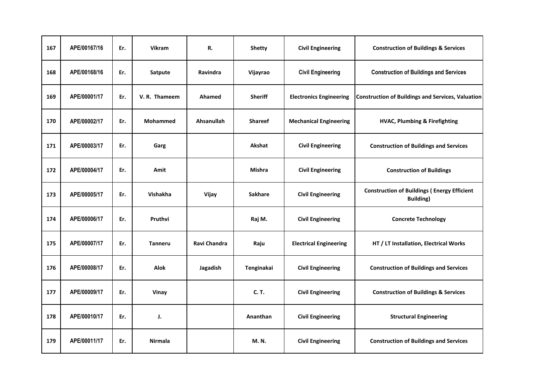| 167 | APE/00167/16 | Er. | <b>Vikram</b>   | R.                | <b>Shetty</b>  | <b>Civil Engineering</b>       | <b>Construction of Buildings &amp; Services</b>                 |
|-----|--------------|-----|-----------------|-------------------|----------------|--------------------------------|-----------------------------------------------------------------|
| 168 | APE/00168/16 | Er. | Satpute         | Ravindra          | Vijayrao       | <b>Civil Engineering</b>       | <b>Construction of Buildings and Services</b>                   |
| 169 | APE/00001/17 | Er. | V.R. Thameem    | Ahamed            | <b>Sheriff</b> | <b>Electronics Engineering</b> | <b>Construction of Buildings and Services, Valuation</b>        |
| 170 | APE/00002/17 | Er. | <b>Mohammed</b> | <b>Ahsanullah</b> | <b>Shareef</b> | <b>Mechanical Engineering</b>  | <b>HVAC, Plumbing &amp; Firefighting</b>                        |
| 171 | APE/00003/17 | Er. | Garg            |                   | Akshat         | <b>Civil Engineering</b>       | <b>Construction of Buildings and Services</b>                   |
| 172 | APE/00004/17 | Er. | Amit            |                   | Mishra         | <b>Civil Engineering</b>       | <b>Construction of Buildings</b>                                |
| 173 | APE/00005/17 | Er. | Vishakha        | Vijay             | <b>Sakhare</b> | <b>Civil Engineering</b>       | <b>Construction of Buildings (Energy Efficient</b><br>Building) |
| 174 | APE/00006/17 | Er. | Pruthvi         |                   | Raj M.         | <b>Civil Engineering</b>       | <b>Concrete Technology</b>                                      |
| 175 | APE/00007/17 | Er. | <b>Tanneru</b>  | Ravi Chandra      | Raju           | <b>Electrical Engineering</b>  | HT / LT Installation, Electrical Works                          |
| 176 | APE/00008/17 | Er. | Alok            | Jagadish          | Tenginakai     | <b>Civil Engineering</b>       | <b>Construction of Buildings and Services</b>                   |
| 177 | APE/00009/17 | Er. | Vinay           |                   | C. T.          | <b>Civil Engineering</b>       | <b>Construction of Buildings &amp; Services</b>                 |
| 178 | APE/00010/17 | Er. | J.              |                   | Ananthan       | <b>Civil Engineering</b>       | <b>Structural Engineering</b>                                   |
| 179 | APE/00011/17 | Er. | Nirmala         |                   | M. N.          | <b>Civil Engineering</b>       | <b>Construction of Buildings and Services</b>                   |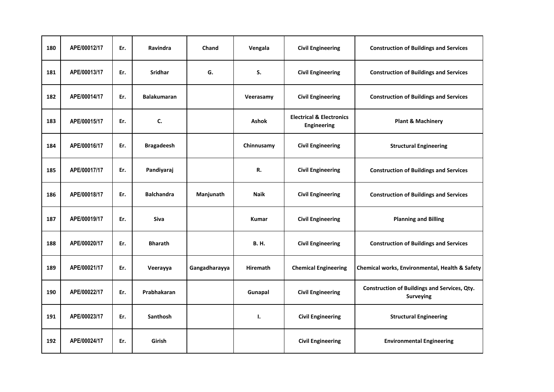| 180 | APE/00012/17 | Er. | Ravindra           | Chand         | Vengala         | <b>Civil Engineering</b>                                  | <b>Construction of Buildings and Services</b>                           |
|-----|--------------|-----|--------------------|---------------|-----------------|-----------------------------------------------------------|-------------------------------------------------------------------------|
| 181 | APE/00013/17 | Er. | <b>Sridhar</b>     | G.            | S.              | <b>Civil Engineering</b>                                  | <b>Construction of Buildings and Services</b>                           |
| 182 | APE/00014/17 | Er. | <b>Balakumaran</b> |               | Veerasamy       | <b>Civil Engineering</b>                                  | <b>Construction of Buildings and Services</b>                           |
| 183 | APE/00015/17 | Er. | C.                 |               | <b>Ashok</b>    | <b>Electrical &amp; Electronics</b><br><b>Engineering</b> | <b>Plant &amp; Machinery</b>                                            |
| 184 | APE/00016/17 | Er. | <b>Bragadeesh</b>  |               | Chinnusamy      | <b>Civil Engineering</b>                                  | <b>Structural Engineering</b>                                           |
| 185 | APE/00017/17 | Er. | Pandiyaraj         |               | R.              | <b>Civil Engineering</b>                                  | <b>Construction of Buildings and Services</b>                           |
| 186 | APE/00018/17 | Er. | <b>Balchandra</b>  | Manjunath     | Naik            | <b>Civil Engineering</b>                                  | <b>Construction of Buildings and Services</b>                           |
| 187 | APE/00019/17 | Er. | Siva               |               | Kumar           | <b>Civil Engineering</b>                                  | <b>Planning and Billing</b>                                             |
| 188 | APE/00020/17 | Er. | <b>Bharath</b>     |               | <b>B.H.</b>     | <b>Civil Engineering</b>                                  | <b>Construction of Buildings and Services</b>                           |
| 189 | APE/00021/17 | Er. | Veerayya           | Gangadharayya | <b>Hiremath</b> | <b>Chemical Engineering</b>                               | Chemical works, Environmental, Health & Safety                          |
| 190 | APE/00022/17 | Er. | Prabhakaran        |               | Gunapal         | <b>Civil Engineering</b>                                  | <b>Construction of Buildings and Services, Qty.</b><br><b>Surveying</b> |
| 191 | APE/00023/17 | Er. | <b>Santhosh</b>    |               | Ι.              | <b>Civil Engineering</b>                                  | <b>Structural Engineering</b>                                           |
| 192 | APE/00024/17 | Er. | Girish             |               |                 | <b>Civil Engineering</b>                                  | <b>Environmental Engineering</b>                                        |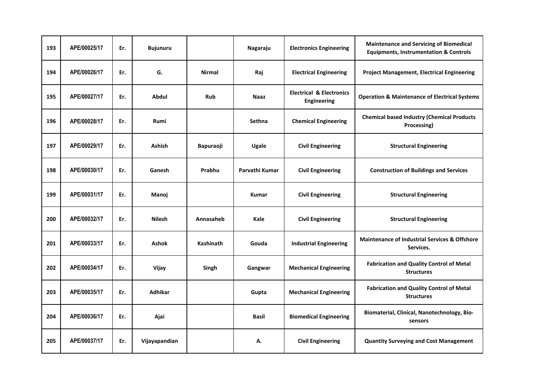| 193 | APE/00025/17 | Er. | <b>Bujunuru</b> |                  | Nagaraju       | <b>Electronics Engineering</b>                     | <b>Maintenance and Servicing of Biomedical</b><br><b>Equipments, Instrumentation &amp; Controls</b> |
|-----|--------------|-----|-----------------|------------------|----------------|----------------------------------------------------|-----------------------------------------------------------------------------------------------------|
| 194 | APE/00026/17 | Er. | G.              | <b>Nirmal</b>    | Raj            | <b>Electrical Engineering</b>                      | <b>Project Management, Electrical Engineering</b>                                                   |
| 195 | APE/00027/17 | Er. | Abdul           | Rub              | <b>Naaz</b>    | <b>Electrical &amp; Electronics</b><br>Engineering | <b>Operation &amp; Maintenance of Electrical Systems</b>                                            |
| 196 | APE/00028/17 | Er. | Rumi            |                  | Sethna         | <b>Chemical Engineering</b>                        | <b>Chemical based Industry (Chemical Products</b><br>Processing)                                    |
| 197 | APE/00029/17 | Er. | Ashish          | Bapuraoji        | Ugale          | <b>Civil Engineering</b>                           | <b>Structural Engineering</b>                                                                       |
| 198 | APE/00030/17 | Er. | Ganesh          | Prabhu           | Parvathi Kumar | <b>Civil Engineering</b>                           | <b>Construction of Buildings and Services</b>                                                       |
| 199 | APE/00031/17 | Er. | Manoj           |                  | <b>Kumar</b>   | <b>Civil Engineering</b>                           | <b>Structural Engineering</b>                                                                       |
| 200 | APE/00032/17 | Er. | <b>Nilesh</b>   | Annasaheb        | Kale           | <b>Civil Engineering</b>                           | <b>Structural Engineering</b>                                                                       |
| 201 | APE/00033/17 | Er. | <b>Ashok</b>    | <b>Kashinath</b> | Gouda          | <b>Industrial Engineering</b>                      | <b>Maintenance of Industrial Services &amp; Offshore</b><br>Services.                               |
| 202 | APE/00034/17 | Er. | Vijay           | Singh            | Gangwar        | <b>Mechanical Engineering</b>                      | <b>Fabrication and Quality Control of Metal</b><br><b>Structures</b>                                |
| 203 | APE/00035/17 | Er. | <b>Adhikar</b>  |                  | Gupta          | <b>Mechanical Engineering</b>                      | <b>Fabrication and Quality Control of Metal</b><br><b>Structures</b>                                |
| 204 | APE/00036/17 | Er. | Ajai            |                  | <b>Basil</b>   | <b>Biomedical Engineering</b>                      | Biomaterial, Clinical, Nanotechnology, Bio-<br>sensors                                              |
| 205 | APE/00037/17 | Er. | Vijayapandian   |                  | А.             | <b>Civil Engineering</b>                           | <b>Quantity Surveying and Cost Management</b>                                                       |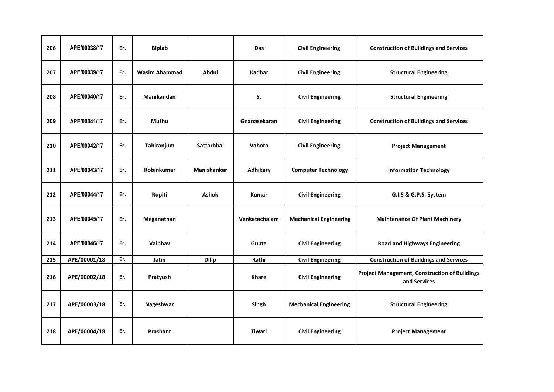| 206 | APE/00038/17 | Er. | <b>Biplab</b>        |                    | <b>Das</b>    | <b>Civil Engineering</b>      | <b>Construction of Buildings and Services</b>                        |
|-----|--------------|-----|----------------------|--------------------|---------------|-------------------------------|----------------------------------------------------------------------|
| 207 | APE/00039/17 | Er. | <b>Wasim Ahammad</b> | Abdul              | Kadhar        | <b>Civil Engineering</b>      | <b>Structural Engineering</b>                                        |
| 208 | APE/00040/17 | Er. | Manikandan           |                    | S.            | <b>Civil Engineering</b>      | <b>Structural Engineering</b>                                        |
| 209 | APE/00041/17 | Er. | Muthu                |                    | Gnanasekaran  | <b>Civil Engineering</b>      | <b>Construction of Buildings and Services</b>                        |
| 210 | APE/00042/17 | Er. | Tahiranjum           | Sattarbhai         | Vahora        | <b>Civil Engineering</b>      | <b>Project Management</b>                                            |
| 211 | APE/00043/17 | Er. | <b>Robinkumar</b>    | <b>Manishankar</b> | Adhikary      | <b>Computer Technology</b>    | <b>Information Technology</b>                                        |
| 212 | APE/00044/17 | Er. | Rupiti               | <b>Ashok</b>       | <b>Kumar</b>  | <b>Civil Engineering</b>      | G.I.S & G.P.S. System                                                |
| 213 | APE/00045/17 | Er. | Meganathan           |                    | Venkatachalam | <b>Mechanical Engineering</b> | <b>Maintenance Of Plant Machinery</b>                                |
| 214 | APE/00046/17 | Er. | Vaibhav              |                    | Gupta         | <b>Civil Engineering</b>      | <b>Road and Highways Engineering</b>                                 |
| 215 | APE/00001/18 | Er. | <b>Jatin</b>         | <b>Dilip</b>       | Rathi         | <b>Civil Engineering</b>      | <b>Construction of Buildings and Services</b>                        |
| 216 | APE/00002/18 | Er. | Pratyush             |                    | Khare         | <b>Civil Engineering</b>      | <b>Project Management, Construction of Buildings</b><br>and Services |
| 217 | APE/00003/18 | Er. | Nageshwar            |                    | Singh         | <b>Mechanical Engineering</b> | <b>Structural Engineering</b>                                        |
| 218 | APE/00004/18 | Er. | Prashant             |                    | <b>Tiwari</b> | <b>Civil Engineering</b>      | <b>Project Management</b>                                            |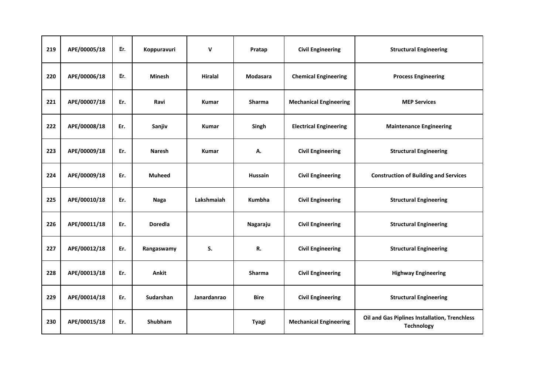| 219 | APE/00005/18 | Er. | Koppuravuri    | $\mathsf{V}$   | Pratap        | <b>Civil Engineering</b>      | <b>Structural Engineering</b>                                      |
|-----|--------------|-----|----------------|----------------|---------------|-------------------------------|--------------------------------------------------------------------|
| 220 | APE/00006/18 | Er. | <b>Minesh</b>  | <b>Hiralal</b> | Modasara      | <b>Chemical Engineering</b>   | <b>Process Engineering</b>                                         |
| 221 | APE/00007/18 | Er. | Ravi           | <b>Kumar</b>   | <b>Sharma</b> | <b>Mechanical Engineering</b> | <b>MEP Services</b>                                                |
| 222 | APE/00008/18 | Er. | Sanjiv         | <b>Kumar</b>   | Singh         | <b>Electrical Engineering</b> | <b>Maintenance Engineering</b>                                     |
| 223 | APE/00009/18 | Er. | <b>Naresh</b>  | <b>Kumar</b>   | А.            | <b>Civil Engineering</b>      | <b>Structural Engineering</b>                                      |
| 224 | APE/00009/18 | Er. | <b>Muheed</b>  |                | Hussain       | <b>Civil Engineering</b>      | <b>Construction of Building and Services</b>                       |
| 225 | APE/00010/18 | Er. | Naga           | Lakshmaiah     | <b>Kumbha</b> | <b>Civil Engineering</b>      | <b>Structural Engineering</b>                                      |
| 226 | APE/00011/18 | Er. | <b>Doredla</b> |                | Nagaraju      | <b>Civil Engineering</b>      | <b>Structural Engineering</b>                                      |
| 227 | APE/00012/18 | Er. | Rangaswamy     | S.             | R.            | <b>Civil Engineering</b>      | <b>Structural Engineering</b>                                      |
| 228 | APE/00013/18 | Er. | <b>Ankit</b>   |                | <b>Sharma</b> | <b>Civil Engineering</b>      | <b>Highway Engineering</b>                                         |
| 229 | APE/00014/18 | Er. | Sudarshan      | Janardanrao    | <b>Bire</b>   | <b>Civil Engineering</b>      | <b>Structural Engineering</b>                                      |
| 230 | APE/00015/18 | Er. | <b>Shubham</b> |                | <b>Tyagi</b>  | <b>Mechanical Engineering</b> | Oil and Gas Piplines Installation, Trenchless<br><b>Technology</b> |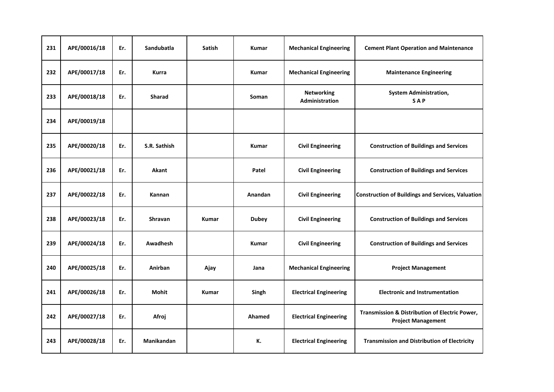| 231 | APE/00016/18 | Er. | Sandubatla   | Satish | Kumar          | <b>Mechanical Engineering</b>              | <b>Cement Plant Operation and Maintenance</b>                               |
|-----|--------------|-----|--------------|--------|----------------|--------------------------------------------|-----------------------------------------------------------------------------|
| 232 | APE/00017/18 | Er. | Kurra        |        | <b>Kumar</b>   | <b>Mechanical Engineering</b>              | <b>Maintenance Engineering</b>                                              |
| 233 | APE/00018/18 | Er. | Sharad       |        | Soman          | <b>Networking</b><br><b>Administration</b> | <b>System Administration,</b><br>SAP                                        |
| 234 | APE/00019/18 |     |              |        |                |                                            |                                                                             |
| 235 | APE/00020/18 | Er. | S.R. Sathish |        | Kumar          | <b>Civil Engineering</b>                   | <b>Construction of Buildings and Services</b>                               |
| 236 | APE/00021/18 | Er. | Akant        |        | Patel          | <b>Civil Engineering</b>                   | <b>Construction of Buildings and Services</b>                               |
| 237 | APE/00022/18 | Er. | Kannan       |        | <b>Anandan</b> | <b>Civil Engineering</b>                   | <b>Construction of Buildings and Services, Valuation</b>                    |
| 238 | APE/00023/18 | Er. | Shravan      | Kumar  | <b>Dubey</b>   | <b>Civil Engineering</b>                   | <b>Construction of Buildings and Services</b>                               |
| 239 | APE/00024/18 | Er. | Awadhesh     |        | Kumar          | <b>Civil Engineering</b>                   | <b>Construction of Buildings and Services</b>                               |
| 240 | APE/00025/18 | Er. | Anirban      | Ajay   | Jana           | <b>Mechanical Engineering</b>              | <b>Project Management</b>                                                   |
| 241 | APE/00026/18 | Er. | <b>Mohit</b> | Kumar  | Singh          | <b>Electrical Engineering</b>              | <b>Electronic and Instrumentation</b>                                       |
| 242 | APE/00027/18 | Er. | Afroj        |        | Ahamed         | <b>Electrical Engineering</b>              | Transmission & Distribution of Electric Power,<br><b>Project Management</b> |
| 243 | APE/00028/18 | Er. | Manikandan   |        | К.             | <b>Electrical Engineering</b>              | <b>Transmission and Distribution of Electricity</b>                         |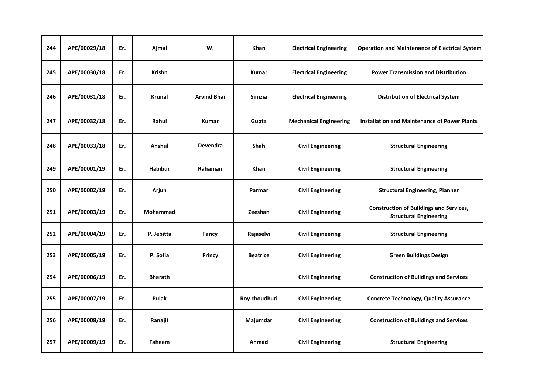| 244 | APE/00029/18 | Er. | Ajmal           | w.                 | <b>Khan</b>     | <b>Electrical Engineering</b> | <b>Operation and Maintenance of Electrical System</b>                           |
|-----|--------------|-----|-----------------|--------------------|-----------------|-------------------------------|---------------------------------------------------------------------------------|
| 245 | APE/00030/18 | Er. | <b>Krishn</b>   |                    | <b>Kumar</b>    | <b>Electrical Engineering</b> | <b>Power Transmission and Distribution</b>                                      |
| 246 | APE/00031/18 | Er. | <b>Krunal</b>   | <b>Arvind Bhai</b> | <b>Simzia</b>   | <b>Electrical Engineering</b> | <b>Distribution of Electrical System</b>                                        |
| 247 | APE/00032/18 | Er. | Rahul           | <b>Kumar</b>       | Gupta           | <b>Mechanical Engineering</b> | <b>Installation and Maintenance of Power Plants</b>                             |
| 248 | APE/00033/18 | Er. | Anshul          | Devendra           | <b>Shah</b>     | <b>Civil Engineering</b>      | <b>Structural Engineering</b>                                                   |
| 249 | APE/00001/19 | Er. | <b>Habibur</b>  | Rahaman            | <b>Khan</b>     | <b>Civil Engineering</b>      | <b>Structural Engineering</b>                                                   |
| 250 | APE/00002/19 | Er. | Arjun           |                    | Parmar          | <b>Civil Engineering</b>      | <b>Structural Engineering, Planner</b>                                          |
| 251 | APE/00003/19 | Er. | <b>Mohammad</b> |                    | Zeeshan         | <b>Civil Engineering</b>      | <b>Construction of Buildings and Services,</b><br><b>Structural Engineering</b> |
| 252 | APE/00004/19 | Er. | P. Jebitta      | Fancy              | Rajaselvi       | <b>Civil Engineering</b>      | <b>Structural Engineering</b>                                                   |
| 253 | APE/00005/19 | Er. | P. Sofia        | Princy             | <b>Beatrice</b> | <b>Civil Engineering</b>      | <b>Green Buildings Design</b>                                                   |
| 254 | APE/00006/19 | Er. | <b>Bharath</b>  |                    |                 | <b>Civil Engineering</b>      | <b>Construction of Buildings and Services</b>                                   |
| 255 | APE/00007/19 | Er. | Pulak           |                    | Roy choudhuri   | <b>Civil Engineering</b>      | <b>Concrete Technology, Quality Assurance</b>                                   |
| 256 | APE/00008/19 | Er. | Ranajit         |                    | Majumdar        | <b>Civil Engineering</b>      | <b>Construction of Buildings and Services</b>                                   |
| 257 | APE/00009/19 | Er. | Faheem          |                    | Ahmad           | <b>Civil Engineering</b>      | <b>Structural Engineering</b>                                                   |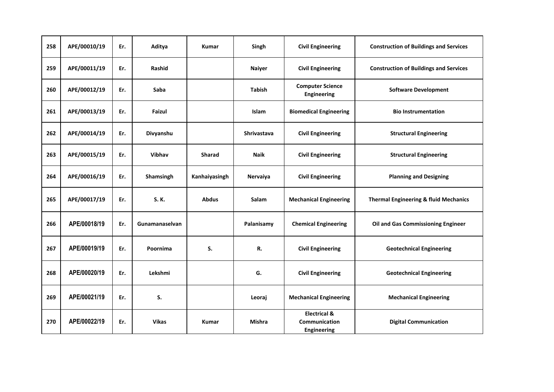| 258 | APE/00010/19 | Er. | Aditya         | <b>Kumar</b>  | Singh         | <b>Civil Engineering</b>                                       | <b>Construction of Buildings and Services</b>    |
|-----|--------------|-----|----------------|---------------|---------------|----------------------------------------------------------------|--------------------------------------------------|
| 259 | APE/00011/19 | Er. | Rashid         |               | <b>Naiyer</b> | <b>Civil Engineering</b>                                       | <b>Construction of Buildings and Services</b>    |
| 260 | APE/00012/19 | Er. | <b>Saba</b>    |               | <b>Tabish</b> | <b>Computer Science</b><br>Engineering                         | <b>Software Development</b>                      |
| 261 | APE/00013/19 | Er. | Faizul         |               | <b>Islam</b>  | <b>Biomedical Engineering</b>                                  | <b>Bio Instrumentation</b>                       |
| 262 | APE/00014/19 | Er. | Divyanshu      |               | Shrivastava   | <b>Civil Engineering</b>                                       | <b>Structural Engineering</b>                    |
| 263 | APE/00015/19 | Er. | Vibhav         | Sharad        | <b>Naik</b>   | <b>Civil Engineering</b>                                       | <b>Structural Engineering</b>                    |
| 264 | APE/00016/19 | Er. | Shamsingh      | Kanhaiyasingh | Nervaiya      | <b>Civil Engineering</b>                                       | <b>Planning and Designing</b>                    |
| 265 | APE/00017/19 | Er. | S. K.          | <b>Abdus</b>  | Salam         | <b>Mechanical Engineering</b>                                  | <b>Thermal Engineering &amp; fluid Mechanics</b> |
| 266 | APE/00018/19 | Er. | Gunamanaselvan |               | Palanisamy    | <b>Chemical Engineering</b>                                    | <b>Oil and Gas Commissioning Engineer</b>        |
| 267 | APE/00019/19 | Er. | Poornima       | S.            | R.            | <b>Civil Engineering</b>                                       | <b>Geotechnical Engineering</b>                  |
| 268 | APE/00020/19 | Er. | Lekshmi        |               | G.            | <b>Civil Engineering</b>                                       | <b>Geotechnical Engineering</b>                  |
| 269 | APE/00021/19 | Er. | S.             |               | Leoraj        | <b>Mechanical Engineering</b>                                  | <b>Mechanical Engineering</b>                    |
| 270 | APE/00022/19 | Er. | <b>Vikas</b>   | <b>Kumar</b>  | <b>Mishra</b> | <b>Electrical &amp;</b><br>Communication<br><b>Engineering</b> | <b>Digital Communication</b>                     |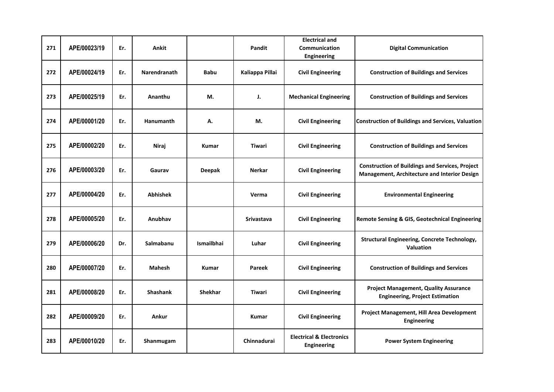| 271 | APE/00023/19 | Er. | <b>Ankit</b>        |                   | <b>Pandit</b>     | <b>Electrical and</b><br>Communication<br><b>Engineering</b> | <b>Digital Communication</b>                                                                           |
|-----|--------------|-----|---------------------|-------------------|-------------------|--------------------------------------------------------------|--------------------------------------------------------------------------------------------------------|
| 272 | APE/00024/19 | Er. | <b>Narendranath</b> | <b>Babu</b>       | Kaliappa Pillai   | <b>Civil Engineering</b>                                     | <b>Construction of Buildings and Services</b>                                                          |
| 273 | APE/00025/19 | Er. | Ananthu             | M.                | J.                | <b>Mechanical Engineering</b>                                | <b>Construction of Buildings and Services</b>                                                          |
| 274 | APE/00001/20 | Er. | Hanumanth           | А.                | М.                | <b>Civil Engineering</b>                                     | <b>Construction of Buildings and Services, Valuation</b>                                               |
| 275 | APE/00002/20 | Er. | Niraj               | <b>Kumar</b>      | Tiwari            | <b>Civil Engineering</b>                                     | <b>Construction of Buildings and Services</b>                                                          |
| 276 | APE/00003/20 | Er. | Gaurav              | <b>Deepak</b>     | <b>Nerkar</b>     | <b>Civil Engineering</b>                                     | <b>Construction of Buildings and Services, Project</b><br>Management, Architecture and Interior Design |
| 277 | APE/00004/20 | Er. | <b>Abhishek</b>     |                   | Verma             | <b>Civil Engineering</b>                                     | <b>Environmental Engineering</b>                                                                       |
| 278 | APE/00005/20 | Er. | Anubhav             |                   | <b>Srivastava</b> | <b>Civil Engineering</b>                                     | Remote Sensing & GIS, Geotechnical Engineering                                                         |
| 279 | APE/00006/20 | Dr. | Salmabanu           | <b>Ismailbhai</b> | Luhar             | <b>Civil Engineering</b>                                     | <b>Structural Engineering, Concrete Technology,</b><br>Valuation                                       |
| 280 | APE/00007/20 | Er. | Mahesh              | Kumar             | Pareek            | <b>Civil Engineering</b>                                     | <b>Construction of Buildings and Services</b>                                                          |
| 281 | APE/00008/20 | Er. | <b>Shashank</b>     | <b>Shekhar</b>    | Tiwari            | <b>Civil Engineering</b>                                     | <b>Project Management, Quality Assurance</b><br><b>Engineering, Project Estimation</b>                 |
| 282 | APE/00009/20 | Er. | Ankur               |                   | Kumar             | <b>Civil Engineering</b>                                     | Project Management, Hill Area Development<br><b>Engineering</b>                                        |
| 283 | APE/00010/20 | Er. | Shanmugam           |                   | Chinnadurai       | <b>Electrical &amp; Electronics</b><br><b>Engineering</b>    | <b>Power System Engineering</b>                                                                        |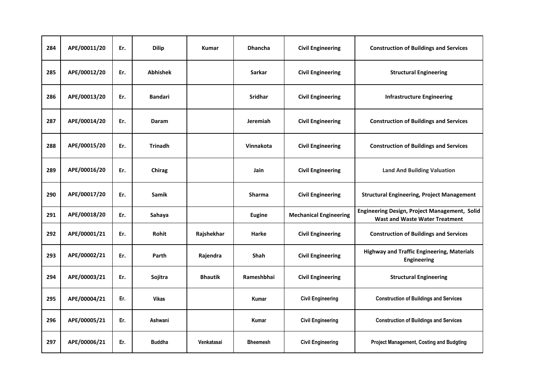| 284 | APE/00011/20 | Er. | <b>Dilip</b>    | Kumar          | <b>Dhancha</b>  | <b>Civil Engineering</b>      | <b>Construction of Buildings and Services</b>                                          |
|-----|--------------|-----|-----------------|----------------|-----------------|-------------------------------|----------------------------------------------------------------------------------------|
| 285 | APE/00012/20 | Er. | <b>Abhishek</b> |                | Sarkar          | <b>Civil Engineering</b>      | <b>Structural Engineering</b>                                                          |
| 286 | APE/00013/20 | Er. | <b>Bandari</b>  |                | <b>Sridhar</b>  | <b>Civil Engineering</b>      | <b>Infrastructure Engineering</b>                                                      |
| 287 | APE/00014/20 | Er. | Daram           |                | Jeremiah        | <b>Civil Engineering</b>      | <b>Construction of Buildings and Services</b>                                          |
| 288 | APE/00015/20 | Er. | <b>Trinadh</b>  |                | Vinnakota       | <b>Civil Engineering</b>      | <b>Construction of Buildings and Services</b>                                          |
| 289 | APE/00016/20 | Er. | Chirag          |                | Jain            | <b>Civil Engineering</b>      | <b>Land And Building Valuation</b>                                                     |
| 290 | APE/00017/20 | Er. | <b>Samik</b>    |                | <b>Sharma</b>   | <b>Civil Engineering</b>      | <b>Structural Engineering, Project Management</b>                                      |
| 291 | APE/00018/20 | Er. | Sahaya          |                | <b>Eugine</b>   | <b>Mechanical Engineering</b> | Engineering Design, Project Management, Solid<br><b>Wast and Waste Water Treatment</b> |
| 292 | APE/00001/21 | Er. | Rohit           | Rajshekhar     | Harke           | <b>Civil Engineering</b>      | <b>Construction of Buildings and Services</b>                                          |
| 293 | APE/00002/21 | Er. | Parth           | Rajendra       | <b>Shah</b>     | <b>Civil Engineering</b>      | <b>Highway and Traffic Engineering, Materials</b><br>Engineering                       |
| 294 | APE/00003/21 | Er. | Sojitra         | <b>Bhautik</b> | Rameshbhai      | <b>Civil Engineering</b>      | <b>Structural Engineering</b>                                                          |
| 295 | APE/00004/21 | Er. | <b>Vikas</b>    |                | Kumar           | <b>Civil Engineering</b>      | <b>Construction of Buildings and Services</b>                                          |
| 296 | APE/00005/21 | Er. | Ashwani         |                | Kumar           | <b>Civil Engineering</b>      | <b>Construction of Buildings and Services</b>                                          |
| 297 | APE/00006/21 | Er. | <b>Buddha</b>   | Venkatasai     | <b>Bheemesh</b> | <b>Civil Engineering</b>      | Project Management, Costing and Budgting                                               |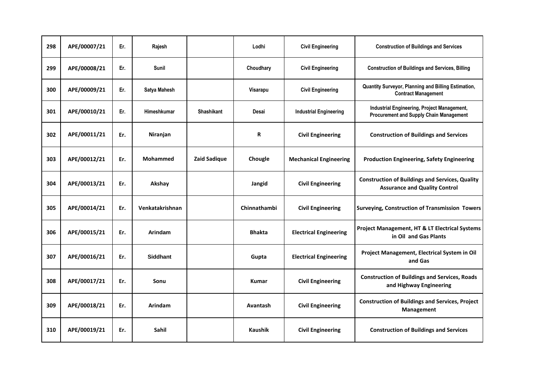| 298 | APE/00007/21 | Er. | Rajesh          |                     | Lodhi          | <b>Civil Engineering</b>      | <b>Construction of Buildings and Services</b>                                                  |
|-----|--------------|-----|-----------------|---------------------|----------------|-------------------------------|------------------------------------------------------------------------------------------------|
| 299 | APE/00008/21 | Er. | Sunil           |                     | Choudhary      | <b>Civil Engineering</b>      | <b>Construction of Buildings and Services, Billing</b>                                         |
| 300 | APE/00009/21 | Er. | Satya Mahesh    |                     | Visarapu       | <b>Civil Engineering</b>      | Quantity Surveyor, Planning and Billing Estimation,<br><b>Contract Management</b>              |
| 301 | APE/00010/21 | Er. | Himeshkumar     | <b>Shashikant</b>   | Desai          | <b>Industrial Engineering</b> | Industrial Engineering, Project Management,<br><b>Procurement and Supply Chain Management</b>  |
| 302 | APE/00011/21 | Er. | Niranjan        |                     | R              | <b>Civil Engineering</b>      | <b>Construction of Buildings and Services</b>                                                  |
| 303 | APE/00012/21 | Er. | <b>Mohammed</b> | <b>Zaid Sadique</b> | Chougle        | <b>Mechanical Engineering</b> | <b>Production Engineering, Safety Engineering</b>                                              |
| 304 | APE/00013/21 | Er. | Akshay          |                     | Jangid         | <b>Civil Engineering</b>      | <b>Construction of Buildings and Services, Quality</b><br><b>Assurance and Quality Control</b> |
| 305 | APE/00014/21 | Er. | Venkatakrishnan |                     | Chinnathambi   | <b>Civil Engineering</b>      | <b>Surveying, Construction of Transmission Towers</b>                                          |
| 306 | APE/00015/21 | Er. | Arindam         |                     | <b>Bhakta</b>  | <b>Electrical Engineering</b> | Project Management, HT & LT Electrical Systems<br>in Oil and Gas Plants                        |
| 307 | APE/00016/21 | Er. | <b>Siddhant</b> |                     | Gupta          | <b>Electrical Engineering</b> | Project Management, Electrical System in Oil<br>and Gas                                        |
| 308 | APE/00017/21 | Er. | Sonu            |                     | <b>Kumar</b>   | <b>Civil Engineering</b>      | <b>Construction of Buildings and Services, Roads</b><br>and Highway Engineering                |
| 309 | APE/00018/21 | Er. | <b>Arindam</b>  |                     | Avantash       | <b>Civil Engineering</b>      | <b>Construction of Buildings and Services, Project</b><br>Management                           |
| 310 | APE/00019/21 | Er. | <b>Sahil</b>    |                     | <b>Kaushik</b> | <b>Civil Engineering</b>      | <b>Construction of Buildings and Services</b>                                                  |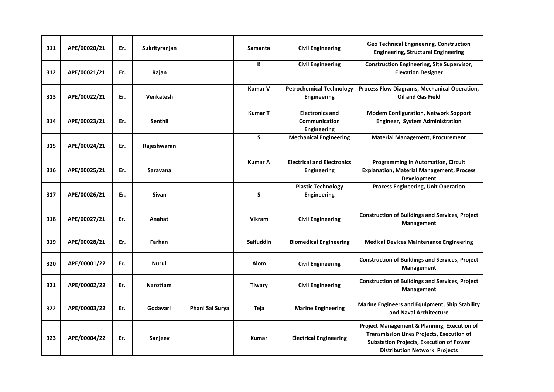| 311 | APE/00020/21 | Er. | Sukrityranjan   |                 | <b>Samanta</b>   | <b>Civil Engineering</b>                                | <b>Geo Technical Engineering, Construction</b><br><b>Engineering, Structural Engineering</b>                                                                                              |
|-----|--------------|-----|-----------------|-----------------|------------------|---------------------------------------------------------|-------------------------------------------------------------------------------------------------------------------------------------------------------------------------------------------|
| 312 | APE/00021/21 | Er. | Rajan           |                 | К                | <b>Civil Engineering</b>                                | <b>Construction Engineering, Site Supervisor,</b><br><b>Elevation Designer</b>                                                                                                            |
| 313 | APE/00022/21 | Er. | Venkatesh       |                 | <b>Kumar V</b>   | <b>Petrochemical Technology</b><br>Engineering          | Process Flow Diagrams, Mechanical Operation,<br><b>Oil and Gas Field</b>                                                                                                                  |
| 314 | APE/00023/21 | Er. | Senthil         |                 | <b>Kumar T</b>   | <b>Electronics and</b><br>Communication<br>Engineering  | <b>Modem Configuration, Network Sopport</b><br>Engineer, System Administration                                                                                                            |
| 315 | APE/00024/21 | Er. | Rajeshwaran     |                 | S.               | <b>Mechanical Engineering</b>                           | <b>Material Management, Procurement</b>                                                                                                                                                   |
| 316 | APE/00025/21 | Er. | <b>Saravana</b> |                 | <b>Kumar A</b>   | <b>Electrical and Electronics</b><br><b>Engineering</b> | <b>Programming in Automation, Circuit</b><br><b>Explanation, Material Management, Process</b><br>Development                                                                              |
| 317 | APE/00026/21 | Er. | <b>Sivan</b>    |                 | S                | <b>Plastic Technology</b><br>Engineering                | <b>Process Engineering, Unit Operation</b>                                                                                                                                                |
| 318 | APE/00027/21 | Er. | Anahat          |                 | Vikram           | <b>Civil Engineering</b>                                | <b>Construction of Buildings and Services, Project</b><br>Management                                                                                                                      |
| 319 | APE/00028/21 | Er. | Farhan          |                 | <b>Saifuddin</b> | <b>Biomedical Engineering</b>                           | <b>Medical Devices Maintenance Engineering</b>                                                                                                                                            |
| 320 | APE/00001/22 | Er. | <b>Nurul</b>    |                 | Alom             | <b>Civil Engineering</b>                                | <b>Construction of Buildings and Services, Project</b><br>Management                                                                                                                      |
| 321 | APE/00002/22 | Er. | <b>Narottam</b> |                 | <b>Tiwary</b>    | <b>Civil Engineering</b>                                | <b>Construction of Buildings and Services, Project</b><br>Management                                                                                                                      |
| 322 | APE/00003/22 | Er. | <b>Godavari</b> | Phani Sai Surya | Teja             | <b>Marine Engineering</b>                               | <b>Marine Engineers and Equipment, Ship Stability</b><br>and Naval Architecture                                                                                                           |
| 323 | APE/00004/22 | Er. | Sanjeev         |                 | <b>Kumar</b>     | <b>Electrical Engineering</b>                           | Project Management & Planning, Execution of<br><b>Transmission Lines Projects, Execution of</b><br><b>Substation Projects, Execution of Power</b><br><b>Distribution Network Projects</b> |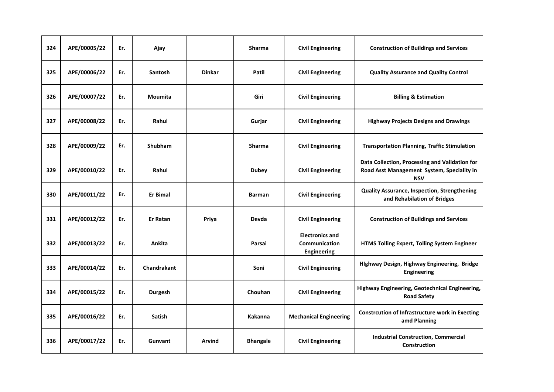| 324 | APE/00005/22 | Er. | Ajay               |               | <b>Sharma</b>   | <b>Civil Engineering</b>                                      | <b>Construction of Buildings and Services</b>                                                              |
|-----|--------------|-----|--------------------|---------------|-----------------|---------------------------------------------------------------|------------------------------------------------------------------------------------------------------------|
| 325 | APE/00006/22 | Er. | <b>Santosh</b>     | <b>Dinkar</b> | Patil           | <b>Civil Engineering</b>                                      | <b>Quality Assurance and Quality Control</b>                                                               |
| 326 | APE/00007/22 | Er. | <b>Moumita</b>     |               | Giri            | <b>Civil Engineering</b>                                      | <b>Billing &amp; Estimation</b>                                                                            |
| 327 | APE/00008/22 | Er. | Rahul              |               | Gurjar          | <b>Civil Engineering</b>                                      | <b>Highway Projects Designs and Drawings</b>                                                               |
| 328 | APE/00009/22 | Er. | <b>Shubham</b>     |               | <b>Sharma</b>   | <b>Civil Engineering</b>                                      | <b>Transportation Planning, Traffic Stimulation</b>                                                        |
| 329 | APE/00010/22 | Er. | Rahul              |               | <b>Dubey</b>    | <b>Civil Engineering</b>                                      | Data Collection, Processing and Validation for<br>Road Asst Management System, Speciality in<br><b>NSV</b> |
| 330 | APE/00011/22 | Er. | <b>Er Bimal</b>    |               | <b>Barman</b>   | <b>Civil Engineering</b>                                      | <b>Quality Assurance, Inspection, Strengthening</b><br>and Rehabilation of Bridges                         |
| 331 | APE/00012/22 | Er. | <b>Er Ratan</b>    | Priya         | Devda           | <b>Civil Engineering</b>                                      | <b>Construction of Buildings and Services</b>                                                              |
| 332 | APE/00013/22 | Er. | Ankita             |               | Parsai          | <b>Electronics and</b><br>Communication<br><b>Engineering</b> | HTMS Tolling Expert, Tolling System Engineer                                                               |
| 333 | APE/00014/22 | Er. | <b>Chandrakant</b> |               | Soni            | <b>Civil Engineering</b>                                      | Highway Design, Highway Engineering, Bridge<br><b>Engineering</b>                                          |
| 334 | APE/00015/22 | Er. | <b>Durgesh</b>     |               | Chouhan         | <b>Civil Engineering</b>                                      | Highway Engineering, Geotechnical Engineering,<br><b>Road Safety</b>                                       |
| 335 | APE/00016/22 | Er. | <b>Satish</b>      |               | Kakanna         | <b>Mechanical Engineering</b>                                 | <b>Constrcution of Infrastructure work in Execting</b><br>amd Planning                                     |
| 336 | APE/00017/22 | Er. | Gunvant            | <b>Arvind</b> | <b>Bhangale</b> | <b>Civil Engineering</b>                                      | <b>Industrial Construction, Commercial</b><br>Construction                                                 |